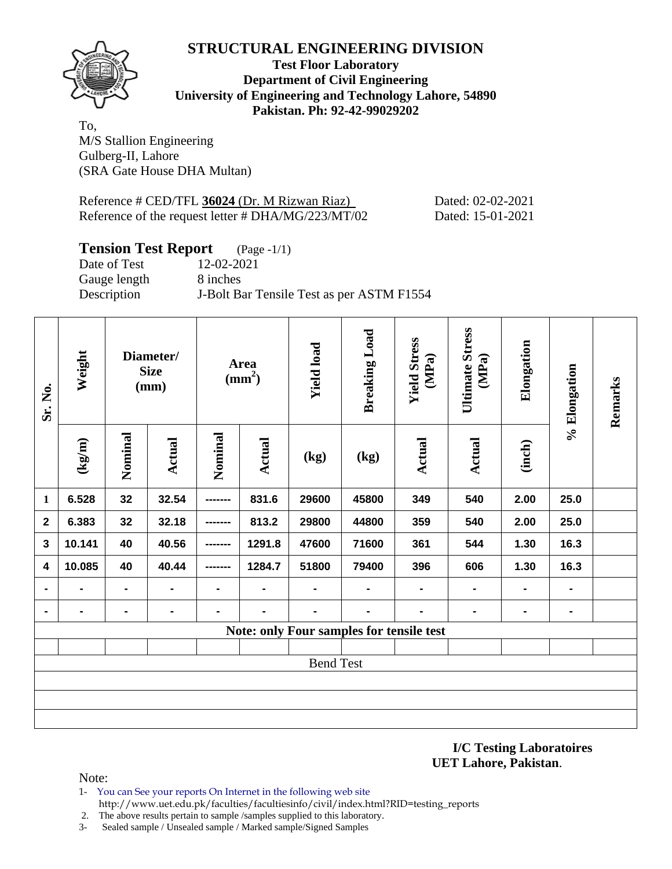# **STRUCTURAL ENGINEERING DIVISION**



#### **Test Floor Laboratory Department of Civil Engineering University of Engineering and Technology Lahore, 54890 Pakistan. Ph: 92-42-99029202**

To, M/S Stallion Engineering Gulberg-II, Lahore (SRA Gate House DHA Multan)

Reference # CED/TFL 36024 (Dr. M Rizwan Riaz) Dated: 02-02-2021 Reference of the request letter # DHA/MG/223/MT/02 Dated: 15-01-2021

# **Tension Test Report** (Page -1/1)

Date of Test 12-02-2021 Gauge length 8 inches

Description J-Bolt Bar Tensile Test as per ASTM F1554

| Sr. No.                 | Weight                | Diameter/<br><b>Size</b><br>(mm) |                | Area<br>$\text{(mm}^2)$ |                | <b>Yield load</b> | <b>Breaking Load</b>                     | <b>Yield Stress</b><br>(MPa) | <b>Ultimate Stress</b><br>(MPa) | Elongation     | % Elongation   | Remarks |  |
|-------------------------|-----------------------|----------------------------------|----------------|-------------------------|----------------|-------------------|------------------------------------------|------------------------------|---------------------------------|----------------|----------------|---------|--|
|                         | $\frac{1}{\text{kg}}$ | Nominal                          | <b>Actual</b>  | Nominal                 | Actual         | (kg)              | (kg)                                     | Actual                       | Actual                          | (inch)         |                |         |  |
| $\mathbf{1}$            | 6.528                 | 32                               | 32.54          |                         | 831.6          | 29600             | 45800                                    | 349                          | 540                             | 2.00           | 25.0           |         |  |
| $\mathbf{2}$            | 6.383                 | 32                               | 32.18          |                         | 813.2          | 29800             | 44800                                    | 359                          | 540                             | 2.00           | 25.0           |         |  |
| $\mathbf{3}$            | 10.141                | 40                               | 40.56          |                         | 1291.8         | 47600             | 71600                                    | 361                          | 544                             | 1.30           | 16.3           |         |  |
| $\overline{\mathbf{4}}$ | 10.085                | 40                               | 40.44          |                         | 1284.7         | 51800             | 79400                                    | 396                          | 606                             | 1.30           | 16.3           |         |  |
|                         |                       | $\blacksquare$                   | $\blacksquare$ |                         | $\blacksquare$ |                   |                                          | Ξ.                           | $\blacksquare$                  | $\blacksquare$ | $\blacksquare$ |         |  |
|                         |                       | -                                | $\blacksquare$ | $\blacksquare$          | $\blacksquare$ |                   | $\blacksquare$                           | Ξ.                           | $\blacksquare$                  | $\blacksquare$ | $\blacksquare$ |         |  |
|                         |                       |                                  |                |                         |                |                   | Note: only Four samples for tensile test |                              |                                 |                |                |         |  |
|                         |                       |                                  |                |                         |                |                   |                                          |                              |                                 |                |                |         |  |
| <b>Bend Test</b>        |                       |                                  |                |                         |                |                   |                                          |                              |                                 |                |                |         |  |
|                         |                       |                                  |                |                         |                |                   |                                          |                              |                                 |                |                |         |  |
|                         |                       |                                  |                |                         |                |                   |                                          |                              |                                 |                |                |         |  |
|                         |                       |                                  |                |                         |                |                   |                                          |                              |                                 |                |                |         |  |

**I/C Testing Laboratoires UET Lahore, Pakistan**.

Note:

- 1- You can See your reports On Internet in the following web site http://www.uet.edu.pk/faculties/facultiesinfo/civil/index.html?RID=testing\_reports
- 2. The above results pertain to sample /samples supplied to this laboratory.
- 3- Sealed sample / Unsealed sample / Marked sample/Signed Samples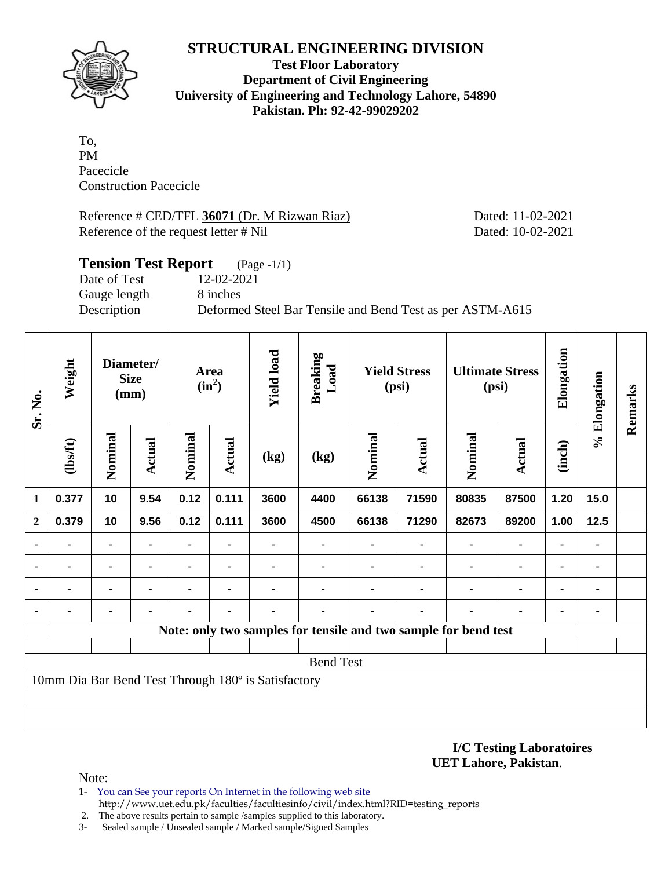## **STRUCTURAL ENGINEERING DIVISION**



**Test Floor Laboratory Department of Civil Engineering University of Engineering and Technology Lahore, 54890 Pakistan. Ph: 92-42-99029202** 

To, PM Pacecicle Construction Pacecicle

Reference # CED/TFL 36071 (Dr. M Rizwan Riaz) Dated: 11-02-2021 Reference of the request letter # Nil Dated: 10-02-2021

| <b>Tension Test Report</b> | $(Page - 1/1)$                                            |
|----------------------------|-----------------------------------------------------------|
| Date of Test               | 12-02-2021                                                |
| Gauge length               | 8 inches                                                  |
| Description                | Deformed Steel Bar Tensile and Bend Test as per ASTM-A615 |

| Sr. No.                                             | Weight  | Diameter/<br><b>Size</b><br>(mm) |                | Area<br>$(in^2)$ |                | <b>Yield load</b> | <b>Breaking</b><br>Load | <b>Yield Stress</b><br>(psi)                                    |                | <b>Ultimate Stress</b><br>(psi) |                              | Elongation     | % Elongation | Remarks |
|-----------------------------------------------------|---------|----------------------------------|----------------|------------------|----------------|-------------------|-------------------------|-----------------------------------------------------------------|----------------|---------------------------------|------------------------------|----------------|--------------|---------|
|                                                     | (1bsft) | Nominal                          | Actual         | Nominal          | Actual         | (kg)              | (kg)                    | Nominal                                                         | <b>Actual</b>  | Nominal                         | <b>Actual</b>                | (inch)         |              |         |
| 1                                                   | 0.377   | 10                               | 9.54           | 0.12             | 0.111          | 3600              | 4400                    | 66138                                                           | 71590          | 80835                           | 87500                        | 1.20           | 15.0         |         |
| $\overline{2}$                                      | 0.379   | 10                               | 9.56           | 0.12             | 0.111          | 3600              | 4500                    | 66138                                                           | 71290          | 82673                           | 89200                        | 1.00           | 12.5         |         |
|                                                     |         | ۰                                | $\blacksquare$ |                  | $\blacksquare$ |                   | ۰                       |                                                                 | ۰              | $\blacksquare$                  | $\qquad \qquad \blacksquare$ | $\blacksquare$ | ٠            |         |
|                                                     |         | ٠                                |                |                  | $\blacksquare$ |                   |                         |                                                                 |                |                                 | ۰                            | ۰              | ۰            |         |
|                                                     |         | $\blacksquare$                   |                |                  | ٠              |                   |                         |                                                                 |                |                                 | ۰                            | ۰              | ۰            |         |
| $\blacksquare$                                      |         |                                  |                |                  | ٠              |                   |                         |                                                                 | $\blacksquare$ | ٠                               | ٠                            | $\blacksquare$ | ۰            |         |
|                                                     |         |                                  |                |                  |                |                   |                         | Note: only two samples for tensile and two sample for bend test |                |                                 |                              |                |              |         |
|                                                     |         |                                  |                |                  |                |                   |                         |                                                                 |                |                                 |                              |                |              |         |
| <b>Bend Test</b>                                    |         |                                  |                |                  |                |                   |                         |                                                                 |                |                                 |                              |                |              |         |
| 10mm Dia Bar Bend Test Through 180° is Satisfactory |         |                                  |                |                  |                |                   |                         |                                                                 |                |                                 |                              |                |              |         |
|                                                     |         |                                  |                |                  |                |                   |                         |                                                                 |                |                                 |                              |                |              |         |
|                                                     |         |                                  |                |                  |                |                   |                         |                                                                 |                |                                 |                              |                |              |         |

**I/C Testing Laboratoires UET Lahore, Pakistan**.

Note:

- 1- You can See your reports On Internet in the following web site http://www.uet.edu.pk/faculties/facultiesinfo/civil/index.html?RID=testing\_reports
- 2. The above results pertain to sample /samples supplied to this laboratory.
- 3- Sealed sample / Unsealed sample / Marked sample/Signed Samples